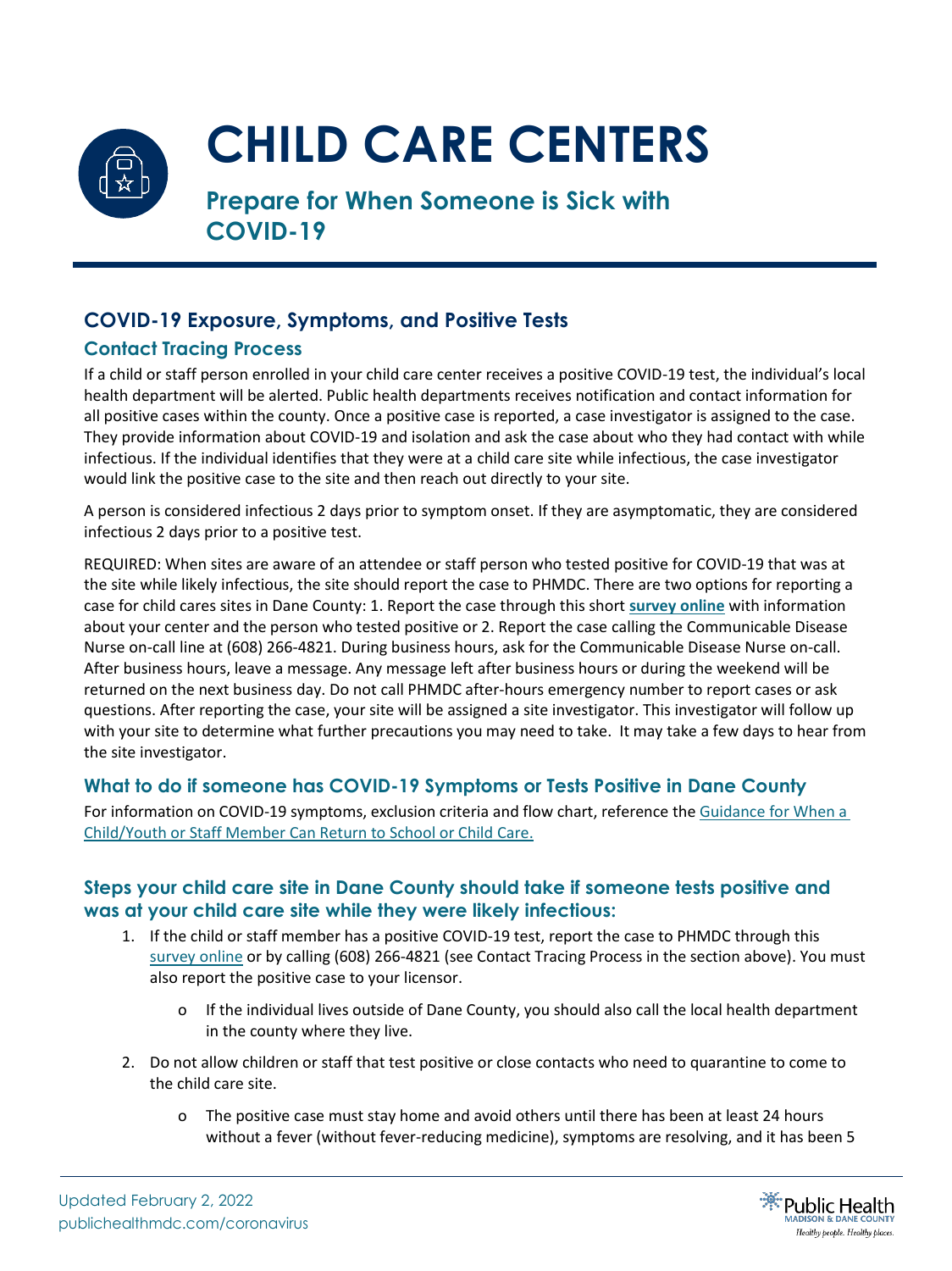

# **CHILD CARE CENTERS**

**Prepare for When Someone is Sick with COVID-19**

## **COVID-19 Exposure, Symptoms, and Positive Tests**

#### **Contact Tracing Process**

If a child or staff person enrolled in your child care center receives a positive COVID-19 test, the individual's local health department will be alerted. Public health departments receives notification and contact information for all positive cases within the county. Once a positive case is reported, a case investigator is assigned to the case. They provide information about COVID-19 and isolation and ask the case about who they had contact with while infectious. If the individual identifies that they were at a child care site while infectious, the case investigator would link the positive case to the site and then reach out directly to your site.

A person is considered infectious 2 days prior to symptom onset. If they are asymptomatic, they are considered infectious 2 days prior to a positive test.

REQUIRED: When sites are aware of an attendee or staff person who tested positive for COVID-19 that was at the site while likely infectious, the site should report the case to PHMDC. There are two options for reporting a case for child cares sites in Dane County: 1. Report the case through this short **[survey](https://survey.alchemer.com/s3/6077749/Child-Care-COVID-Reporting) online** with information about your center and the person who tested positive or 2. Report the case calling the Communicable Disease Nurse on-call line at (608) 266-4821. During business hours, ask for the Communicable Disease Nurse on-call. After business hours, leave a message. Any message left after business hours or during the weekend will be returned on the next business day. Do not call PHMDC after-hours emergency number to report cases or ask questions. After reporting the case, your site will be assigned a site investigator. This investigator will follow up with your site to determine what further precautions you may need to take. It may take a few days to hear from the site investigator.

#### **What to do if someone has COVID-19 Symptoms or Tests Positive in Dane County**

For information on COVID-19 symptoms, exclusion criteria and flow chart, reference the [Guidance for](https://www.publichealthmdc.com/documents/exclusion_table.pdf) When a [Child/Youth or Staff Member Can Return to School or Child Care.](https://www.publichealthmdc.com/documents/exclusion_table.pdf)

#### **Steps your child care site in Dane County should take if someone tests positive and was at your child care site while they were likely infectious:**

- 1. If the child or staff member has a positive COVID-19 test, report the case to PHMDC through this [survey online](https://survey.alchemer.com/s3/6077749/Child-Care-COVID-Reporting) or by calling (608) 266-4821 (see Contact Tracing Process in the section above). You must also report the positive case to your licensor.
	- o If the individual lives outside of Dane County, you should also call the local health department in the county where they live.
- 2. Do not allow children or staff that test positive or close contacts who need to quarantine to come to the child care site.
	- o The positive case must stay home and avoid others until there has been at least 24 hours without a fever (without fever-reducing medicine), symptoms are resolving, and it has been 5

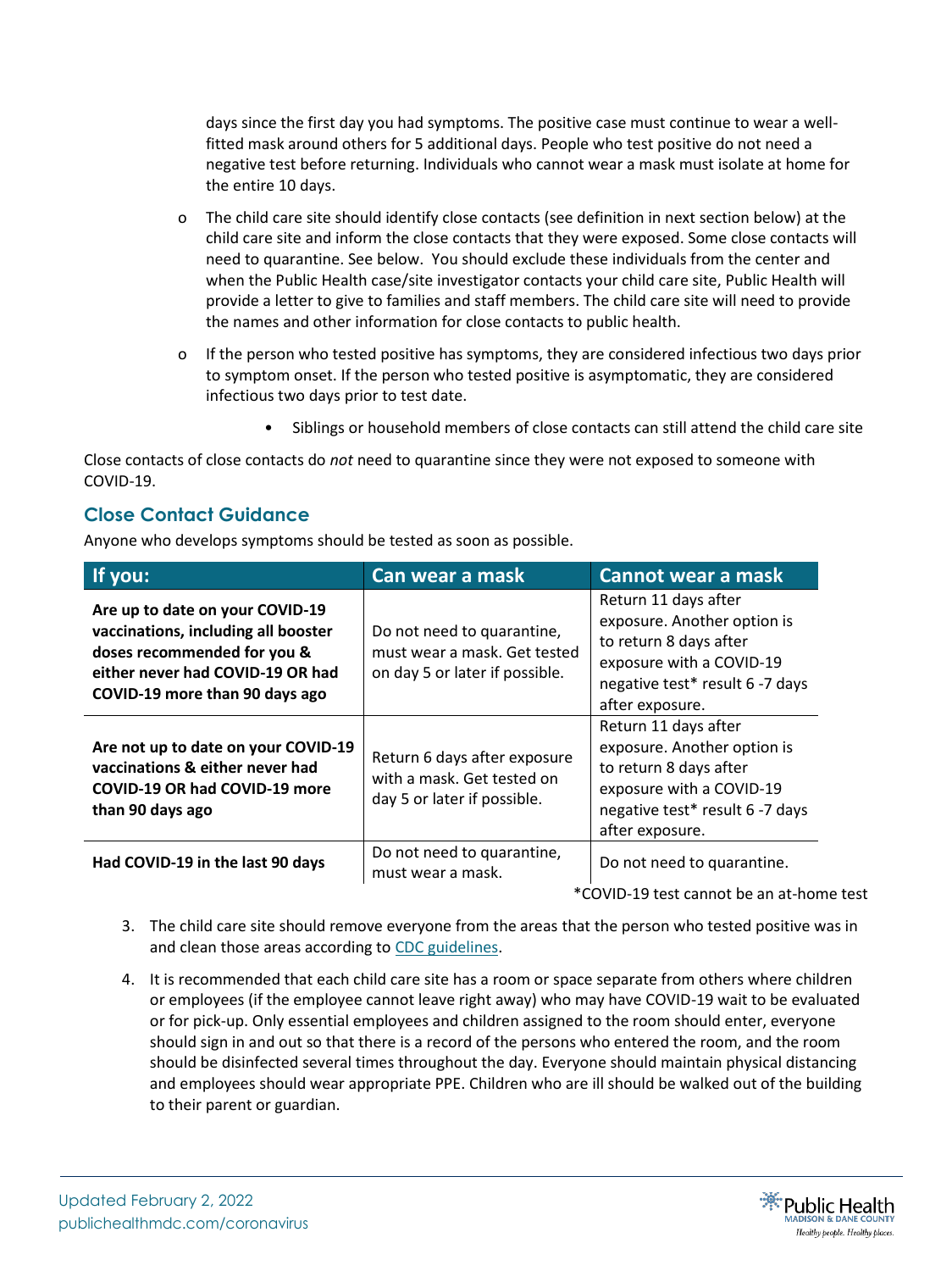days since the first day you had symptoms. The positive case must continue to wear a wellfitted mask around others for 5 additional days. People who test positive do not need a negative test before returning. Individuals who cannot wear a mask must isolate at home for the entire 10 days.

- o The child care site should identify close contacts (see definition in next section below) at the child care site and inform the close contacts that they were exposed. Some close contacts will need to quarantine. See below. You should exclude these individuals from the center and when the Public Health case/site investigator contacts your child care site, Public Health will provide a letter to give to families and staff members. The child care site will need to provide the names and other information for close contacts to public health.
- o If the person who tested positive has symptoms, they are considered infectious two days prior to symptom onset. If the person who tested positive is asymptomatic, they are considered infectious two days prior to test date.
	- Siblings or household members of close contacts can still attend the child care site

Close contacts of close contacts do *not* need to quarantine since they were not exposed to someone with COVID-19.

#### **Close Contact Guidance**

Anyone who develops symptoms should be tested as soon as possible.

| If you:                                                                                                                                                                     | Can wear a mask                                                                              | Cannot wear a mask                                                                                                                                              |
|-----------------------------------------------------------------------------------------------------------------------------------------------------------------------------|----------------------------------------------------------------------------------------------|-----------------------------------------------------------------------------------------------------------------------------------------------------------------|
| Are up to date on your COVID-19<br>vaccinations, including all booster<br>doses recommended for you &<br>either never had COVID-19 OR had<br>COVID-19 more than 90 days ago | Do not need to quarantine,<br>must wear a mask. Get tested<br>on day 5 or later if possible. | Return 11 days after<br>exposure. Another option is<br>to return 8 days after<br>exposure with a COVID-19<br>negative test* result 6 -7 days<br>after exposure. |
| Are not up to date on your COVID-19<br>vaccinations & either never had<br><b>COVID-19 OR had COVID-19 more</b><br>than 90 days ago                                          | Return 6 days after exposure<br>with a mask. Get tested on<br>day 5 or later if possible.    | Return 11 days after<br>exposure. Another option is<br>to return 8 days after<br>exposure with a COVID-19<br>negative test* result 6 -7 days<br>after exposure. |
| Had COVID-19 in the last 90 days                                                                                                                                            | Do not need to quarantine,<br>must wear a mask.                                              | Do not need to quarantine.                                                                                                                                      |

\*COVID-19 test cannot be an at-home test

- 3. The child care site should remove everyone from the areas that the person who tested positive was in and clean those areas according to [CDC guidelines.](https://www.cdc.gov/coronavirus/2019-ncov/community/disinfecting-building-facility.html)
- 4. It is recommended that each child care site has a room or space separate from others where children or employees (if the employee cannot leave right away) who may have COVID-19 wait to be evaluated or for pick-up. Only essential employees and children assigned to the room should enter, everyone should sign in and out so that there is a record of the persons who entered the room, and the room should be disinfected several times throughout the day. Everyone should maintain physical distancing and employees should wear appropriate PPE. Children who are ill should be walked out of the building to their parent or guardian.